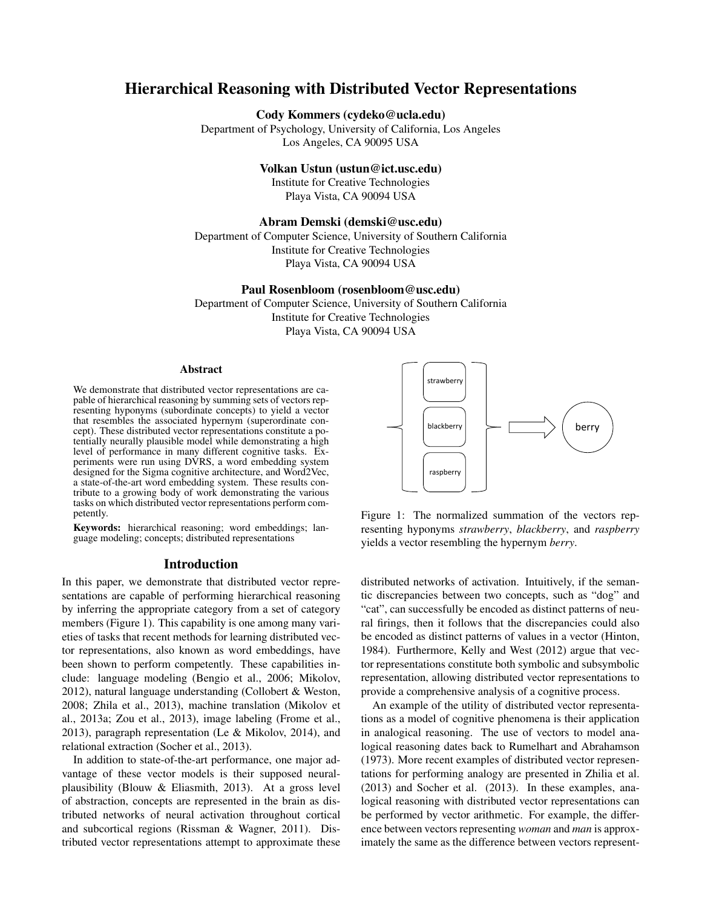# Hierarchical Reasoning with Distributed Vector Representations

Cody Kommers (cydeko@ucla.edu)

Department of Psychology, University of California, Los Angeles Los Angeles, CA 90095 USA

Volkan Ustun (ustun@ict.usc.edu)

Institute for Creative Technologies Playa Vista, CA 90094 USA

#### Abram Demski (demski@usc.edu)

Department of Computer Science, University of Southern California Institute for Creative Technologies Playa Vista, CA 90094 USA

#### Paul Rosenbloom (rosenbloom@usc.edu)

Department of Computer Science, University of Southern California Institute for Creative Technologies Playa Vista, CA 90094 USA

#### Abstract

We demonstrate that distributed vector representations are capable of hierarchical reasoning by summing sets of vectors representing hyponyms (subordinate concepts) to yield a vector that resembles the associated hypernym (superordinate concept). These distributed vector representations constitute a potentially neurally plausible model while demonstrating a high level of performance in many different cognitive tasks. Experiments were run using DVRS, a word embedding system designed for the Sigma cognitive architecture, and Word2Vec, a state-of-the-art word embedding system. These results contribute to a growing body of work demonstrating the various tasks on which distributed vector representations perform competently.

Keywords: hierarchical reasoning; word embeddings; language modeling; concepts; distributed representations

#### Introduction

In this paper, we demonstrate that distributed vector representations are capable of performing hierarchical reasoning by inferring the appropriate category from a set of category members (Figure 1). This capability is one among many varieties of tasks that recent methods for learning distributed vector representations, also known as word embeddings, have been shown to perform competently. These capabilities include: language modeling (Bengio et al., 2006; Mikolov, 2012), natural language understanding (Collobert & Weston, 2008; Zhila et al., 2013), machine translation (Mikolov et al., 2013a; Zou et al., 2013), image labeling (Frome et al., 2013), paragraph representation (Le & Mikolov, 2014), and relational extraction (Socher et al., 2013).

In addition to state-of-the-art performance, one major advantage of these vector models is their supposed neuralplausibility (Blouw & Eliasmith, 2013). At a gross level of abstraction, concepts are represented in the brain as distributed networks of neural activation throughout cortical and subcortical regions (Rissman & Wagner, 2011). Distributed vector representations attempt to approximate these



Figure 1: The normalized summation of the vectors representing hyponyms *strawberry*, *blackberry*, and *raspberry* yields a vector resembling the hypernym *berry*.

distributed networks of activation. Intuitively, if the semantic discrepancies between two concepts, such as "dog" and "cat", can successfully be encoded as distinct patterns of neural firings, then it follows that the discrepancies could also be encoded as distinct patterns of values in a vector (Hinton, 1984). Furthermore, Kelly and West (2012) argue that vector representations constitute both symbolic and subsymbolic representation, allowing distributed vector representations to provide a comprehensive analysis of a cognitive process.

An example of the utility of distributed vector representations as a model of cognitive phenomena is their application in analogical reasoning. The use of vectors to model analogical reasoning dates back to Rumelhart and Abrahamson (1973). More recent examples of distributed vector representations for performing analogy are presented in Zhilia et al. (2013) and Socher et al. (2013). In these examples, analogical reasoning with distributed vector representations can be performed by vector arithmetic. For example, the difference between vectors representing *woman* and *man* is approximately the same as the difference between vectors represent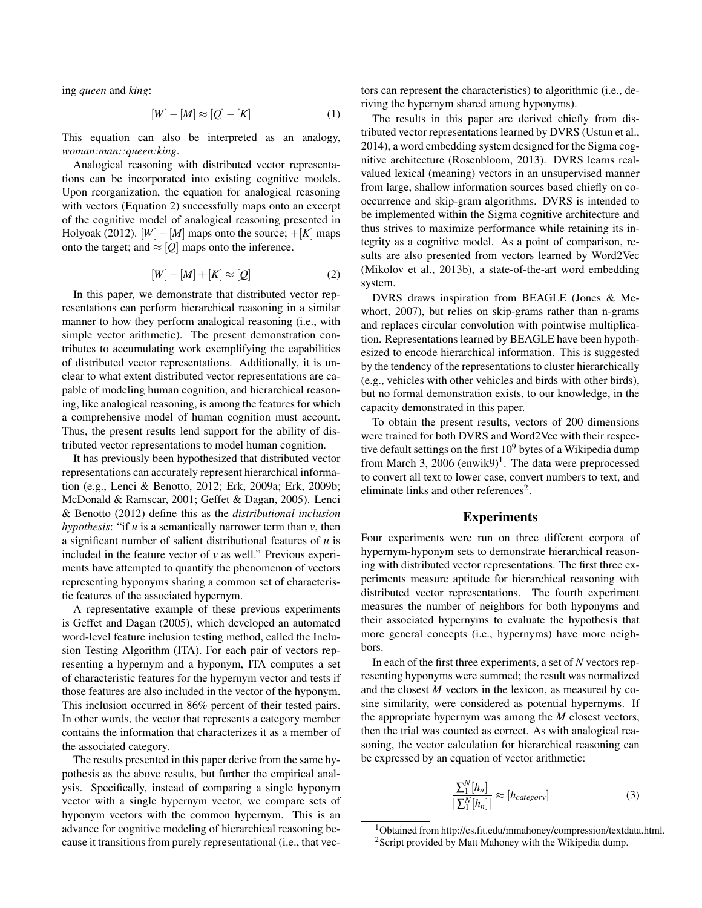ing *queen* and *king*:

$$
[W] - [M] \approx [Q] - [K] \tag{1}
$$

This equation can also be interpreted as an analogy, *woman:man::queen:king*.

Analogical reasoning with distributed vector representations can be incorporated into existing cognitive models. Upon reorganization, the equation for analogical reasoning with vectors (Equation 2) successfully maps onto an excerpt of the cognitive model of analogical reasoning presented in Holyoak (2012).  $[W] - [M]$  maps onto the source;  $+ [K]$  maps onto the target; and  $\approx$  [*Q*] maps onto the inference.

$$
[W] - [M] + [K] \approx [Q] \tag{2}
$$

In this paper, we demonstrate that distributed vector representations can perform hierarchical reasoning in a similar manner to how they perform analogical reasoning (i.e., with simple vector arithmetic). The present demonstration contributes to accumulating work exemplifying the capabilities of distributed vector representations. Additionally, it is unclear to what extent distributed vector representations are capable of modeling human cognition, and hierarchical reasoning, like analogical reasoning, is among the features for which a comprehensive model of human cognition must account. Thus, the present results lend support for the ability of distributed vector representations to model human cognition.

It has previously been hypothesized that distributed vector representations can accurately represent hierarchical information (e.g., Lenci & Benotto, 2012; Erk, 2009a; Erk, 2009b; McDonald & Ramscar, 2001; Geffet & Dagan, 2005). Lenci & Benotto (2012) define this as the *distributional inclusion hypothesis*: "if *u* is a semantically narrower term than *v*, then a significant number of salient distributional features of *u* is included in the feature vector of *v* as well." Previous experiments have attempted to quantify the phenomenon of vectors representing hyponyms sharing a common set of characteristic features of the associated hypernym.

A representative example of these previous experiments is Geffet and Dagan (2005), which developed an automated word-level feature inclusion testing method, called the Inclusion Testing Algorithm (ITA). For each pair of vectors representing a hypernym and a hyponym, ITA computes a set of characteristic features for the hypernym vector and tests if those features are also included in the vector of the hyponym. This inclusion occurred in 86% percent of their tested pairs. In other words, the vector that represents a category member contains the information that characterizes it as a member of the associated category.

The results presented in this paper derive from the same hypothesis as the above results, but further the empirical analysis. Specifically, instead of comparing a single hyponym vector with a single hypernym vector, we compare sets of hyponym vectors with the common hypernym. This is an advance for cognitive modeling of hierarchical reasoning because it transitions from purely representational (i.e., that vectors can represent the characteristics) to algorithmic (i.e., deriving the hypernym shared among hyponyms).

The results in this paper are derived chiefly from distributed vector representations learned by DVRS (Ustun et al., 2014), a word embedding system designed for the Sigma cognitive architecture (Rosenbloom, 2013). DVRS learns realvalued lexical (meaning) vectors in an unsupervised manner from large, shallow information sources based chiefly on cooccurrence and skip-gram algorithms. DVRS is intended to be implemented within the Sigma cognitive architecture and thus strives to maximize performance while retaining its integrity as a cognitive model. As a point of comparison, results are also presented from vectors learned by Word2Vec (Mikolov et al., 2013b), a state-of-the-art word embedding system.

DVRS draws inspiration from BEAGLE (Jones & Mewhort, 2007), but relies on skip-grams rather than n-grams and replaces circular convolution with pointwise multiplication. Representations learned by BEAGLE have been hypothesized to encode hierarchical information. This is suggested by the tendency of the representations to cluster hierarchically (e.g., vehicles with other vehicles and birds with other birds), but no formal demonstration exists, to our knowledge, in the capacity demonstrated in this paper.

To obtain the present results, vectors of 200 dimensions were trained for both DVRS and Word2Vec with their respective default settings on the first  $10<sup>9</sup>$  bytes of a Wikipedia dump from March 3, 2006  $(\text{enwik9})^1$ . The data were preprocessed to convert all text to lower case, convert numbers to text, and eliminate links and other references<sup>2</sup>.

## Experiments

Four experiments were run on three different corpora of hypernym-hyponym sets to demonstrate hierarchical reasoning with distributed vector representations. The first three experiments measure aptitude for hierarchical reasoning with distributed vector representations. The fourth experiment measures the number of neighbors for both hyponyms and their associated hypernyms to evaluate the hypothesis that more general concepts (i.e., hypernyms) have more neighbors.

In each of the first three experiments, a set of *N* vectors representing hyponyms were summed; the result was normalized and the closest *M* vectors in the lexicon, as measured by cosine similarity, were considered as potential hypernyms. If the appropriate hypernym was among the *M* closest vectors, then the trial was counted as correct. As with analogical reasoning, the vector calculation for hierarchical reasoning can be expressed by an equation of vector arithmetic:

$$
\frac{\sum_{1}^{N}[h_{n}]}{|\sum_{1}^{N}[h_{n}]|} \approx [h_{category}]
$$
\n(3)

<sup>&</sup>lt;sup>1</sup>Obtained from http://cs.fit.edu/mmahoney/compression/textdata.html. <sup>2</sup>Script provided by Matt Mahoney with the Wikipedia dump.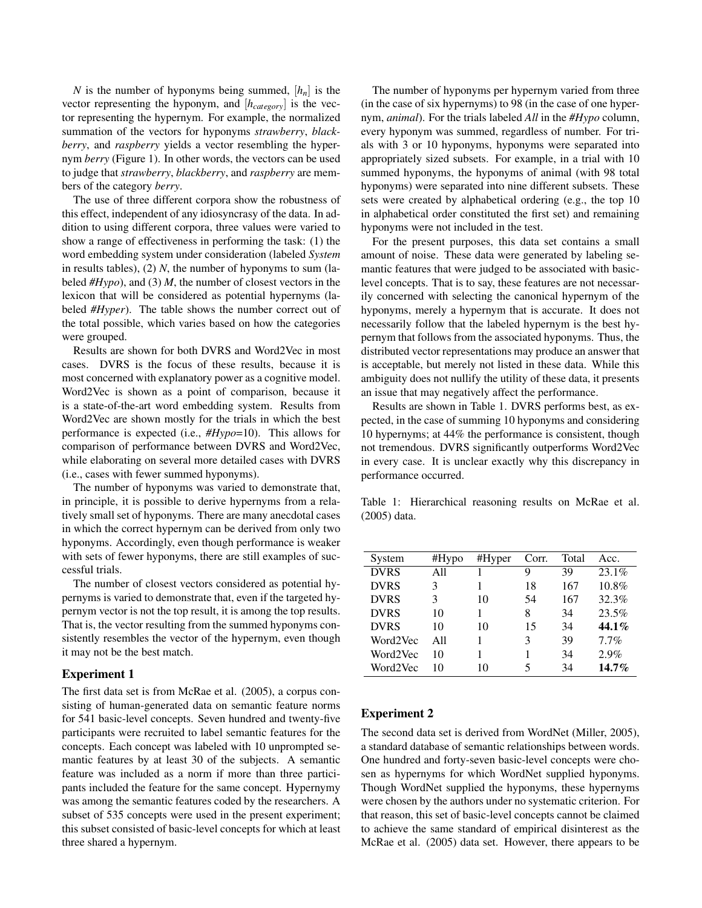*N* is the number of hyponyms being summed,  $[h_n]$  is the vector representing the hyponym, and [*hcategory*] is the vector representing the hypernym. For example, the normalized summation of the vectors for hyponyms *strawberry*, *blackberry*, and *raspberry* yields a vector resembling the hypernym *berry* (Figure 1). In other words, the vectors can be used to judge that *strawberry*, *blackberry*, and *raspberry* are members of the category *berry*.

The use of three different corpora show the robustness of this effect, independent of any idiosyncrasy of the data. In addition to using different corpora, three values were varied to show a range of effectiveness in performing the task: (1) the word embedding system under consideration (labeled *System* in results tables), (2) *N*, the number of hyponyms to sum (labeled *#Hypo*), and (3) *M*, the number of closest vectors in the lexicon that will be considered as potential hypernyms (labeled *#Hyper*). The table shows the number correct out of the total possible, which varies based on how the categories were grouped.

Results are shown for both DVRS and Word2Vec in most cases. DVRS is the focus of these results, because it is most concerned with explanatory power as a cognitive model. Word2Vec is shown as a point of comparison, because it is a state-of-the-art word embedding system. Results from Word2Vec are shown mostly for the trials in which the best performance is expected (i.e., *#Hypo*=10). This allows for comparison of performance between DVRS and Word2Vec, while elaborating on several more detailed cases with DVRS (i.e., cases with fewer summed hyponyms).

The number of hyponyms was varied to demonstrate that, in principle, it is possible to derive hypernyms from a relatively small set of hyponyms. There are many anecdotal cases in which the correct hypernym can be derived from only two hyponyms. Accordingly, even though performance is weaker with sets of fewer hyponyms, there are still examples of successful trials.

The number of closest vectors considered as potential hypernyms is varied to demonstrate that, even if the targeted hypernym vector is not the top result, it is among the top results. That is, the vector resulting from the summed hyponyms consistently resembles the vector of the hypernym, even though it may not be the best match.

## Experiment 1

The first data set is from McRae et al. (2005), a corpus consisting of human-generated data on semantic feature norms for 541 basic-level concepts. Seven hundred and twenty-five participants were recruited to label semantic features for the concepts. Each concept was labeled with 10 unprompted semantic features by at least 30 of the subjects. A semantic feature was included as a norm if more than three participants included the feature for the same concept. Hypernymy was among the semantic features coded by the researchers. A subset of 535 concepts were used in the present experiment; this subset consisted of basic-level concepts for which at least three shared a hypernym.

The number of hyponyms per hypernym varied from three (in the case of six hypernyms) to 98 (in the case of one hypernym, *animal*). For the trials labeled *All* in the *#Hypo* column, every hyponym was summed, regardless of number. For trials with 3 or 10 hyponyms, hyponyms were separated into appropriately sized subsets. For example, in a trial with 10 summed hyponyms, the hyponyms of animal (with 98 total hyponyms) were separated into nine different subsets. These sets were created by alphabetical ordering (e.g., the top 10 in alphabetical order constituted the first set) and remaining hyponyms were not included in the test.

For the present purposes, this data set contains a small amount of noise. These data were generated by labeling semantic features that were judged to be associated with basiclevel concepts. That is to say, these features are not necessarily concerned with selecting the canonical hypernym of the hyponyms, merely a hypernym that is accurate. It does not necessarily follow that the labeled hypernym is the best hypernym that follows from the associated hyponyms. Thus, the distributed vector representations may produce an answer that is acceptable, but merely not listed in these data. While this ambiguity does not nullify the utility of these data, it presents an issue that may negatively affect the performance.

Results are shown in Table 1. DVRS performs best, as expected, in the case of summing 10 hyponyms and considering 10 hypernyms; at 44% the performance is consistent, though not tremendous. DVRS significantly outperforms Word2Vec in every case. It is unclear exactly why this discrepancy in performance occurred.

Table 1: Hierarchical reasoning results on McRae et al. (2005) data.

| System      | #Hypo | #Hyper | Corr. | Total | Acc.     |
|-------------|-------|--------|-------|-------|----------|
| <b>DVRS</b> | A11   |        | 9     | 39    | 23.1%    |
| <b>DVRS</b> | 3     |        | 18    | 167   | 10.8%    |
| <b>DVRS</b> | 3     | 10     | 54    | 167   | 32.3%    |
| <b>DVRS</b> | 10    |        | 8     | 34    | 23.5%    |
| <b>DVRS</b> | 10    | 10     | 15    | 34    | 44.1%    |
| Word2Vec    | A11   |        | 3     | 39    | $7.7\%$  |
| Word2Vec    | 10    |        |       | 34    | 2.9%     |
| Word2Vec    | 10    | 10     | 5     | 34    | $14.7\%$ |

## Experiment 2

The second data set is derived from WordNet (Miller, 2005), a standard database of semantic relationships between words. One hundred and forty-seven basic-level concepts were chosen as hypernyms for which WordNet supplied hyponyms. Though WordNet supplied the hyponyms, these hypernyms were chosen by the authors under no systematic criterion. For that reason, this set of basic-level concepts cannot be claimed to achieve the same standard of empirical disinterest as the McRae et al. (2005) data set. However, there appears to be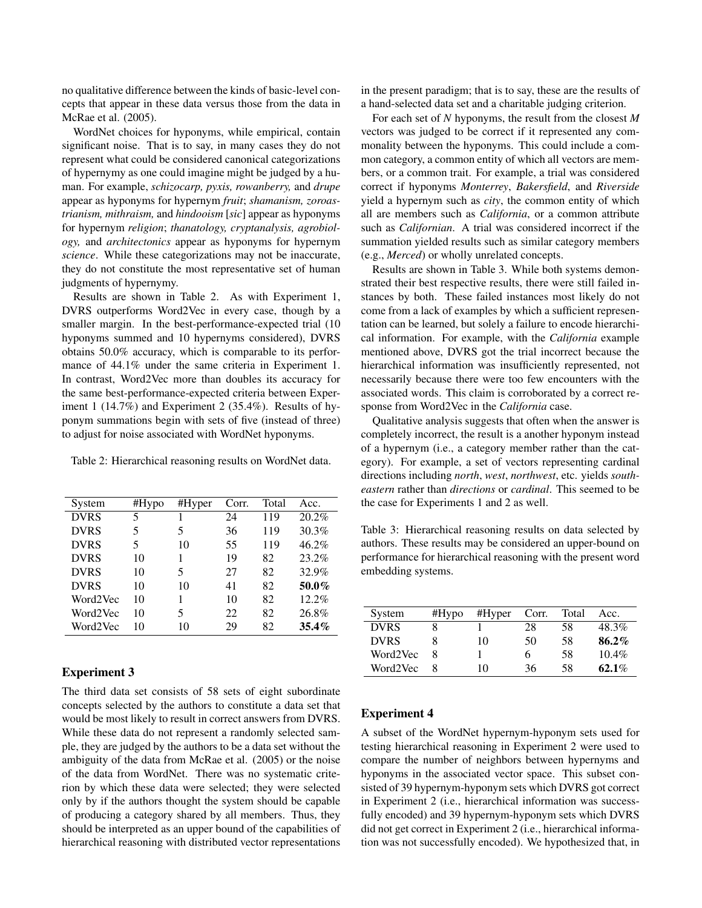no qualitative difference between the kinds of basic-level concepts that appear in these data versus those from the data in McRae et al. (2005).

WordNet choices for hyponyms, while empirical, contain significant noise. That is to say, in many cases they do not represent what could be considered canonical categorizations of hypernymy as one could imagine might be judged by a human. For example, *schizocarp, pyxis, rowanberry,* and *drupe* appear as hyponyms for hypernym *fruit*; *shamanism, zoroastrianism, mithraism,* and *hindooism* [*sic*] appear as hyponyms for hypernym *religion*; *thanatology, cryptanalysis, agrobiology,* and *architectonics* appear as hyponyms for hypernym *science*. While these categorizations may not be inaccurate, they do not constitute the most representative set of human judgments of hypernymy.

Results are shown in Table 2. As with Experiment 1, DVRS outperforms Word2Vec in every case, though by a smaller margin. In the best-performance-expected trial (10 hyponyms summed and 10 hypernyms considered), DVRS obtains 50.0% accuracy, which is comparable to its performance of 44.1% under the same criteria in Experiment 1. In contrast, Word2Vec more than doubles its accuracy for the same best-performance-expected criteria between Experiment 1 (14.7%) and Experiment 2 (35.4%). Results of hyponym summations begin with sets of five (instead of three) to adjust for noise associated with WordNet hyponyms.

Table 2: Hierarchical reasoning results on WordNet data.

| System      | #Hypo | #Hyper | Corr. | Total | Acc.     |
|-------------|-------|--------|-------|-------|----------|
| <b>DVRS</b> | 5     | 1      | 24    | 119   | 20.2%    |
| <b>DVRS</b> | 5     | 5      | 36    | 119   | 30.3%    |
| <b>DVRS</b> | 5     | 10     | 55    | 119   | 46.2%    |
| <b>DVRS</b> | 10    | 1      | 19    | 82    | 23.2%    |
| <b>DVRS</b> | 10    | 5      | 27    | 82    | 32.9%    |
| <b>DVRS</b> | 10    | 10     | 41    | 82    | 50.0%    |
| Word2Vec    | 10    | 1      | 10    | 82    | 12.2%    |
| Word2Vec    | 10    | 5      | 22    | 82    | 26.8%    |
| Word2Vec    | 10    | 10     | 29    | 82    | $35.4\%$ |

## Experiment 3

The third data set consists of 58 sets of eight subordinate concepts selected by the authors to constitute a data set that would be most likely to result in correct answers from DVRS. While these data do not represent a randomly selected sample, they are judged by the authors to be a data set without the ambiguity of the data from McRae et al. (2005) or the noise of the data from WordNet. There was no systematic criterion by which these data were selected; they were selected only by if the authors thought the system should be capable of producing a category shared by all members. Thus, they should be interpreted as an upper bound of the capabilities of hierarchical reasoning with distributed vector representations in the present paradigm; that is to say, these are the results of a hand-selected data set and a charitable judging criterion.

For each set of *N* hyponyms, the result from the closest *M* vectors was judged to be correct if it represented any commonality between the hyponyms. This could include a common category, a common entity of which all vectors are members, or a common trait. For example, a trial was considered correct if hyponyms *Monterrey*, *Bakersfield*, and *Riverside* yield a hypernym such as *city*, the common entity of which all are members such as *California*, or a common attribute such as *Californian*. A trial was considered incorrect if the summation yielded results such as similar category members (e.g., *Merced*) or wholly unrelated concepts.

Results are shown in Table 3. While both systems demonstrated their best respective results, there were still failed instances by both. These failed instances most likely do not come from a lack of examples by which a sufficient representation can be learned, but solely a failure to encode hierarchical information. For example, with the *California* example mentioned above, DVRS got the trial incorrect because the hierarchical information was insufficiently represented, not necessarily because there were too few encounters with the associated words. This claim is corroborated by a correct response from Word2Vec in the *California* case.

Qualitative analysis suggests that often when the answer is completely incorrect, the result is a another hyponym instead of a hypernym (i.e., a category member rather than the category). For example, a set of vectors representing cardinal directions including *north*, *west*, *northwest*, etc. yields *southeastern* rather than *directions* or *cardinal*. This seemed to be the case for Experiments 1 and 2 as well.

Table 3: Hierarchical reasoning results on data selected by authors. These results may be considered an upper-bound on performance for hierarchical reasoning with the present word embedding systems.

| System      | $#H$ ypo | #Hyper | Corr. | Total | Acc.     |
|-------------|----------|--------|-------|-------|----------|
| <b>DVRS</b> |          |        | 28    | 58    | 48.3%    |
| <b>DVRS</b> |          | 10     | 50    | 58    | $86.2\%$ |
| Word2Vec    |          |        | h     | 58    | $10.4\%$ |
| Word2Vec    |          | 10     | 36    | 58    | $62.1\%$ |

#### Experiment 4

A subset of the WordNet hypernym-hyponym sets used for testing hierarchical reasoning in Experiment 2 were used to compare the number of neighbors between hypernyms and hyponyms in the associated vector space. This subset consisted of 39 hypernym-hyponym sets which DVRS got correct in Experiment 2 (i.e., hierarchical information was successfully encoded) and 39 hypernym-hyponym sets which DVRS did not get correct in Experiment 2 (i.e., hierarchical information was not successfully encoded). We hypothesized that, in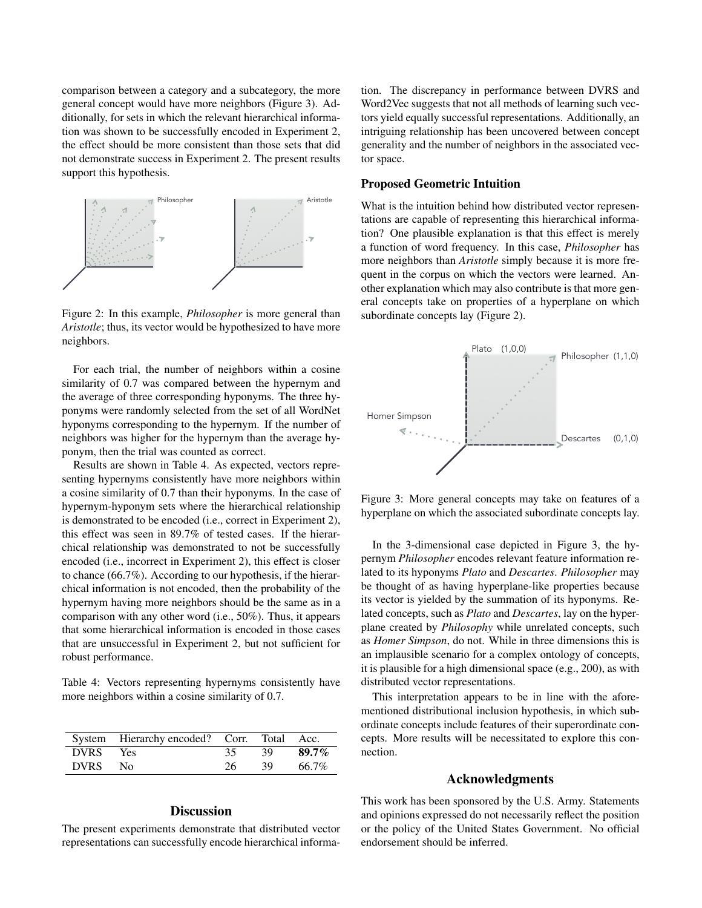comparison between a category and a subcategory, the more general concept would have more neighbors (Figure 3). Additionally, for sets in which the relevant hierarchical information was shown to be successfully encoded in Experiment 2, the effect should be more consistent than those sets that did not demonstrate success in Experiment 2. The present results support this hypothesis.



Figure 2: In this example, *Philosopher* is more general than *Aristotle*; thus, its vector would be hypothesized to have more neighbors.

For each trial, the number of neighbors within a cosine similarity of 0.7 was compared between the hypernym and the average of three corresponding hyponyms. The three hyponyms were randomly selected from the set of all WordNet hyponyms corresponding to the hypernym. If the number of neighbors was higher for the hypernym than the average hyponym, then the trial was counted as correct.

Results are shown in Table 4. As expected, vectors representing hypernyms consistently have more neighbors within a cosine similarity of 0.7 than their hyponyms. In the case of hypernym-hyponym sets where the hierarchical relationship is demonstrated to be encoded (i.e., correct in Experiment 2), this effect was seen in 89.7% of tested cases. If the hierarchical relationship was demonstrated to not be successfully encoded (i.e., incorrect in Experiment 2), this effect is closer to chance (66.7%). According to our hypothesis, if the hierarchical information is not encoded, then the probability of the hypernym having more neighbors should be the same as in a comparison with any other word (i.e., 50%). Thus, it appears that some hierarchical information is encoded in those cases that are unsuccessful in Experiment 2, but not sufficient for robust performance.

Table 4: Vectors representing hypernyms consistently have more neighbors within a cosine similarity of 0.7.

|             | System Hierarchy encoded? Corr. Total Acc. |    |      |          |
|-------------|--------------------------------------------|----|------|----------|
| DVRS Yes    |                                            | 35 | 39   | $89.7\%$ |
| <b>DVRS</b> | - No                                       | 26 | -39. | 66.7%    |

# **Discussion**

The present experiments demonstrate that distributed vector representations can successfully encode hierarchical information. The discrepancy in performance between DVRS and Word2Vec suggests that not all methods of learning such vectors yield equally successful representations. Additionally, an intriguing relationship has been uncovered between concept generality and the number of neighbors in the associated vector space.

#### Proposed Geometric Intuition

What is the intuition behind how distributed vector representations are capable of representing this hierarchical information? One plausible explanation is that this effect is merely a function of word frequency. In this case, *Philosopher* has more neighbors than *Aristotle* simply because it is more frequent in the corpus on which the vectors were learned. Another explanation which may also contribute is that more general concepts take on properties of a hyperplane on which subordinate concepts lay (Figure 2).



Figure 3: More general concepts may take on features of a hyperplane on which the associated subordinate concepts lay.

In the 3-dimensional case depicted in Figure 3, the hypernym *Philosopher* encodes relevant feature information related to its hyponyms *Plato* and *Descartes*. *Philosopher* may be thought of as having hyperplane-like properties because its vector is yielded by the summation of its hyponyms. Related concepts, such as *Plato* and *Descartes*, lay on the hyperplane created by *Philosophy* while unrelated concepts, such as *Homer Simpson*, do not. While in three dimensions this is an implausible scenario for a complex ontology of concepts, it is plausible for a high dimensional space (e.g., 200), as with distributed vector representations.

This interpretation appears to be in line with the aforementioned distributional inclusion hypothesis, in which subordinate concepts include features of their superordinate concepts. More results will be necessitated to explore this connection.

#### Acknowledgments

This work has been sponsored by the U.S. Army. Statements and opinions expressed do not necessarily reflect the position or the policy of the United States Government. No official endorsement should be inferred.